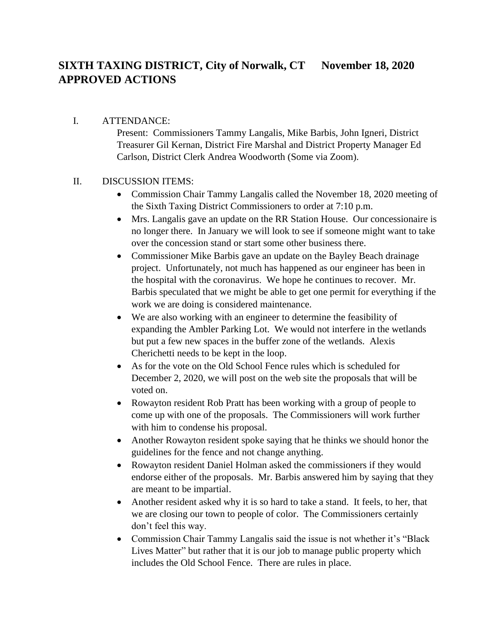## **SIXTH TAXING DISTRICT, City of Norwalk, CT November 18, 2020 APPROVED ACTIONS**

## I. ATTENDANCE:

Present: Commissioners Tammy Langalis, Mike Barbis, John Igneri, District Treasurer Gil Kernan, District Fire Marshal and District Property Manager Ed Carlson, District Clerk Andrea Woodworth (Some via Zoom).

## II. DISCUSSION ITEMS:

- Commission Chair Tammy Langalis called the November 18, 2020 meeting of the Sixth Taxing District Commissioners to order at 7:10 p.m.
- Mrs. Langalis gave an update on the RR Station House. Our concessionaire is no longer there. In January we will look to see if someone might want to take over the concession stand or start some other business there.
- Commissioner Mike Barbis gave an update on the Bayley Beach drainage project. Unfortunately, not much has happened as our engineer has been in the hospital with the coronavirus. We hope he continues to recover. Mr. Barbis speculated that we might be able to get one permit for everything if the work we are doing is considered maintenance.
- We are also working with an engineer to determine the feasibility of expanding the Ambler Parking Lot. We would not interfere in the wetlands but put a few new spaces in the buffer zone of the wetlands. Alexis Cherichetti needs to be kept in the loop.
- As for the vote on the Old School Fence rules which is scheduled for December 2, 2020, we will post on the web site the proposals that will be voted on.
- Rowayton resident Rob Pratt has been working with a group of people to come up with one of the proposals. The Commissioners will work further with him to condense his proposal.
- Another Rowayton resident spoke saying that he thinks we should honor the guidelines for the fence and not change anything.
- Rowayton resident Daniel Holman asked the commissioners if they would endorse either of the proposals. Mr. Barbis answered him by saying that they are meant to be impartial.
- Another resident asked why it is so hard to take a stand. It feels, to her, that we are closing our town to people of color. The Commissioners certainly don't feel this way.
- Commission Chair Tammy Langalis said the issue is not whether it's "Black" Lives Matter" but rather that it is our job to manage public property which includes the Old School Fence. There are rules in place.